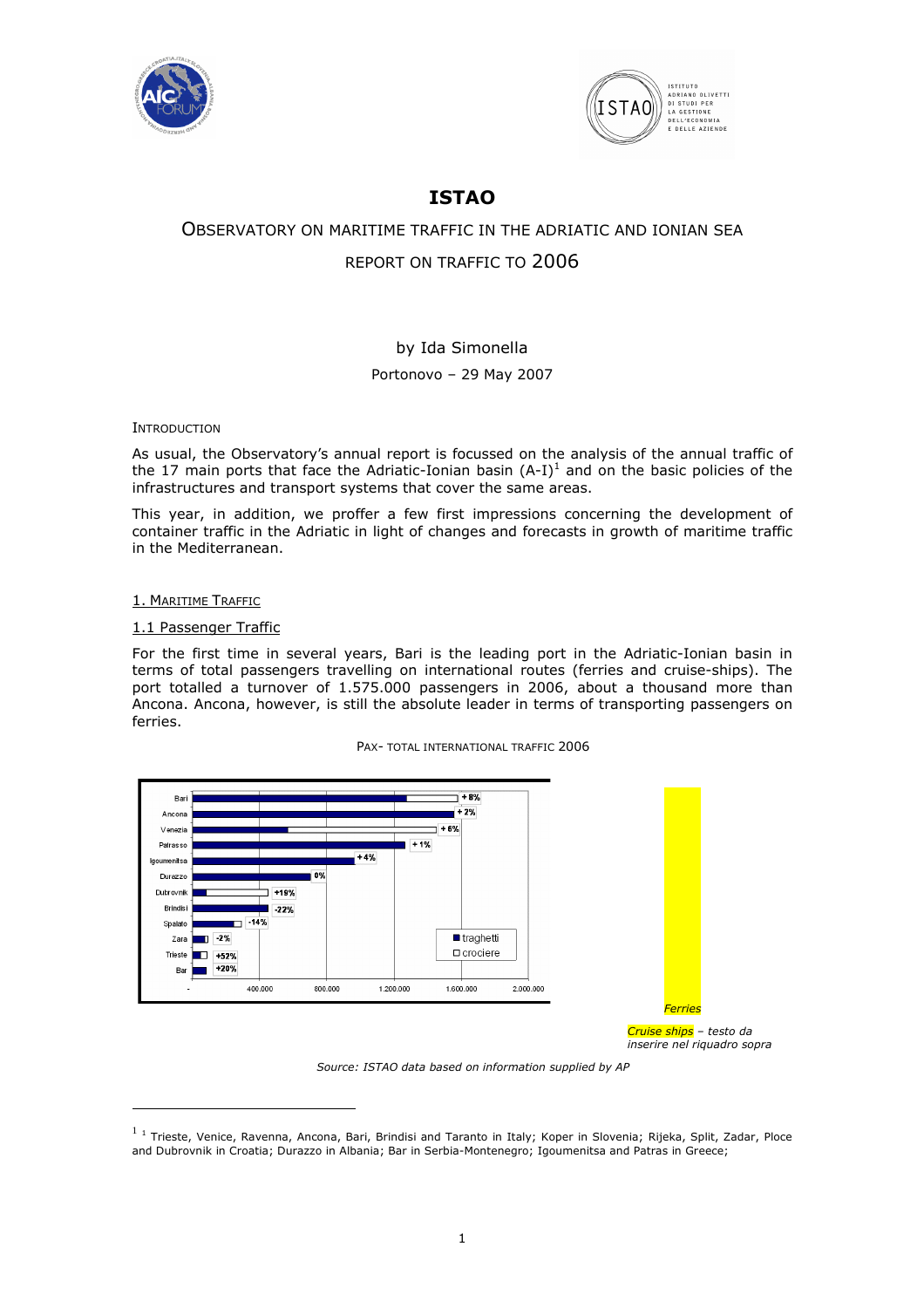



# ISTAO

# OBSERVATORY ON MARITIME TRAFFIC IN THE ADRIATIC AND IONIAN SEA REPORT ON TRAFFIC TO 2006

# by Ida Simonella

# Portonovo – 29 May 2007

**INTRODUCTION** 

As usual, the Observatory's annual report is focussed on the analysis of the annual traffic of the 17 main ports that face the Adriatic-Ionian basin  $(A-I)^1$  and on the basic policies of the infrastructures and transport systems that cover the same areas.

This year, in addition, we proffer a few first impressions concerning the development of container traffic in the Adriatic in light of changes and forecasts in growth of maritime traffic in the Mediterranean.

#### 1. MARITIME TRAFFIC

 $\overline{a}$ 

### 1.1 Passenger Traffic

For the first time in several years, Bari is the leading port in the Adriatic-Ionian basin in terms of total passengers travelling on international routes (ferries and cruise-ships). The port totalled a turnover of 1.575.000 passengers in 2006, about a thousand more than Ancona. Ancona, however, is still the absolute leader in terms of transporting passengers on ferries.





Source: ISTAO data based on information supplied by AP

 $^{1}$  1 Trieste, Venice, Ravenna, Ancona, Bari, Brindisi and Taranto in Italy; Koper in Slovenia; Rijeka, Split, Zadar, Ploce and Dubrovnik in Croatia; Durazzo in Albania; Bar in Serbia-Montenegro; Igoumenitsa and Patras in Greece;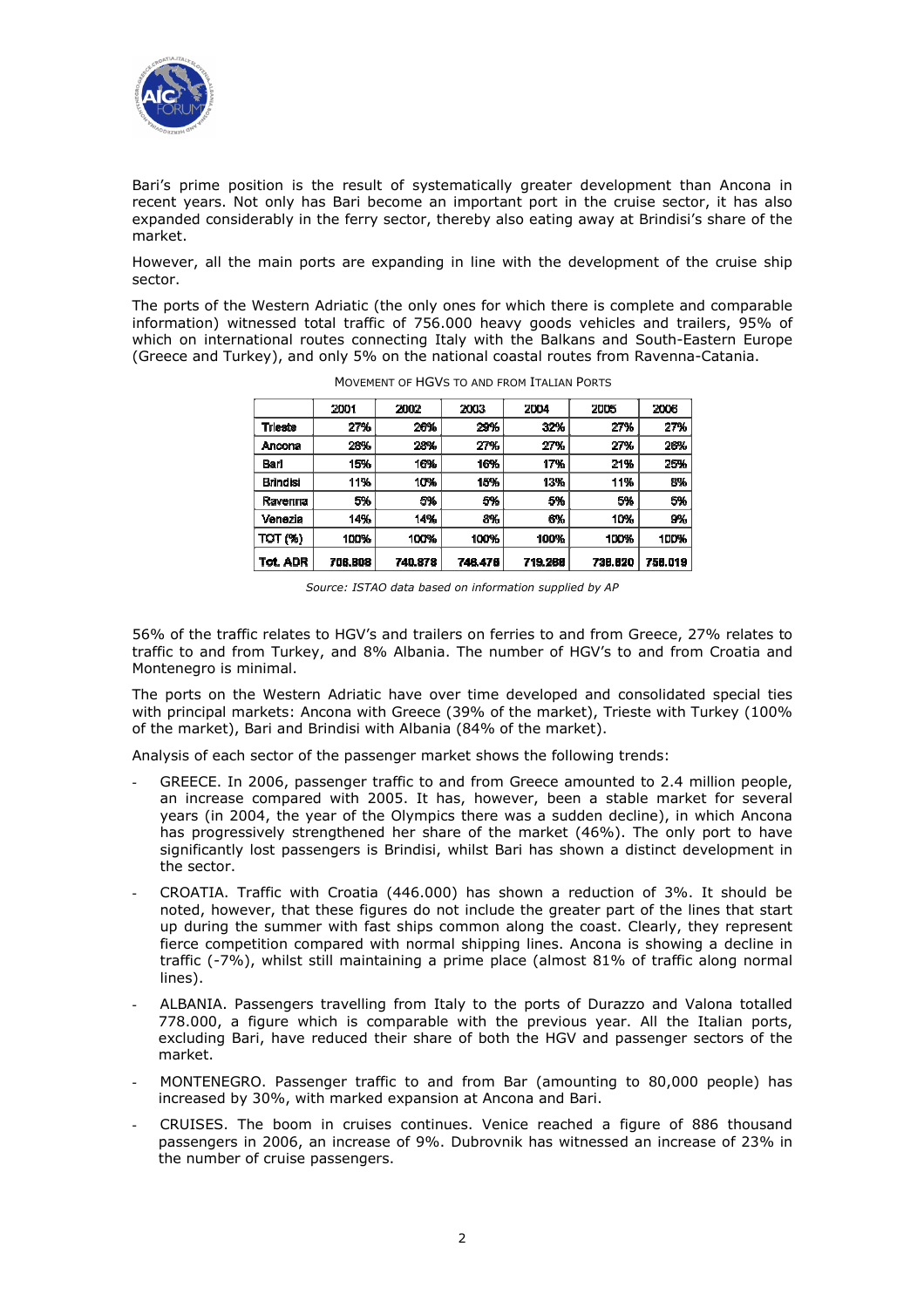

Bari's prime position is the result of systematically greater development than Ancona in recent years. Not only has Bari become an important port in the cruise sector, it has also expanded considerably in the ferry sector, thereby also eating away at Brindisi's share of the market.

However, all the main ports are expanding in line with the development of the cruise ship sector.

The ports of the Western Adriatic (the only ones for which there is complete and comparable information) witnessed total traffic of 756.000 heavy goods vehicles and trailers, 95% of which on international routes connecting Italy with the Balkans and South-Eastern Europe (Greece and Turkey), and only 5% on the national coastal routes from Ravenna-Catania.

|                 | 2001    | 2002    | 2003    | 2004    | 2005    | 2006    |
|-----------------|---------|---------|---------|---------|---------|---------|
| <b>Trieste</b>  | 27%     | 26%     | 29%     | 32%     | 27%     | 27%     |
| Ancona          | 28%     | 28%     | 27%     | 27%     | 27%     | 26%     |
| Bari            | 15%     | 16%     | 16%     | 17%     | 21%     | 25%     |
| <b>Brindisi</b> | 11%     | 10%     | 15%     | 13%     | 11%     | 8%      |
| Ravenna         | 5%      | 5%      | 5%      | 5%      | 5%      | 5%      |
| Venezia         | 14%     | 14%     | 8%      | 6%      | 10%     | 9%      |
| TOT (%)         | 100%    | 100%    | 100%    | 100%    | 100%    | 100%    |
| Tot. ADR        | 706.808 | 740.878 | 746.476 | 719.266 | 736.620 | 756.019 |

MOVEMENT OF HGVS TO AND FROM ITALIAN PORTS

56% of the traffic relates to HGV's and trailers on ferries to and from Greece, 27% relates to traffic to and from Turkey, and 8% Albania. The number of HGV's to and from Croatia and Montenegro is minimal.

The ports on the Western Adriatic have over time developed and consolidated special ties with principal markets: Ancona with Greece (39% of the market), Trieste with Turkey (100% of the market), Bari and Brindisi with Albania (84% of the market).

Analysis of each sector of the passenger market shows the following trends:

- GREECE. In 2006, passenger traffic to and from Greece amounted to 2.4 million people, an increase compared with 2005. It has, however, been a stable market for several years (in 2004, the year of the Olympics there was a sudden decline), in which Ancona has progressively strengthened her share of the market (46%). The only port to have significantly lost passengers is Brindisi, whilst Bari has shown a distinct development in the sector.
- CROATIA. Traffic with Croatia (446.000) has shown a reduction of 3%. It should be noted, however, that these figures do not include the greater part of the lines that start up during the summer with fast ships common along the coast. Clearly, they represent fierce competition compared with normal shipping lines. Ancona is showing a decline in traffic (-7%), whilst still maintaining a prime place (almost 81% of traffic along normal lines).
- ALBANIA. Passengers travelling from Italy to the ports of Durazzo and Valona totalled 778.000, a figure which is comparable with the previous year. All the Italian ports, excluding Bari, have reduced their share of both the HGV and passenger sectors of the market.
- MONTENEGRO. Passenger traffic to and from Bar (amounting to 80,000 people) has increased by 30%, with marked expansion at Ancona and Bari.
- CRUISES. The boom in cruises continues. Venice reached a figure of 886 thousand passengers in 2006, an increase of 9%. Dubrovnik has witnessed an increase of 23% in the number of cruise passengers.

Source: ISTAO data based on information supplied by AP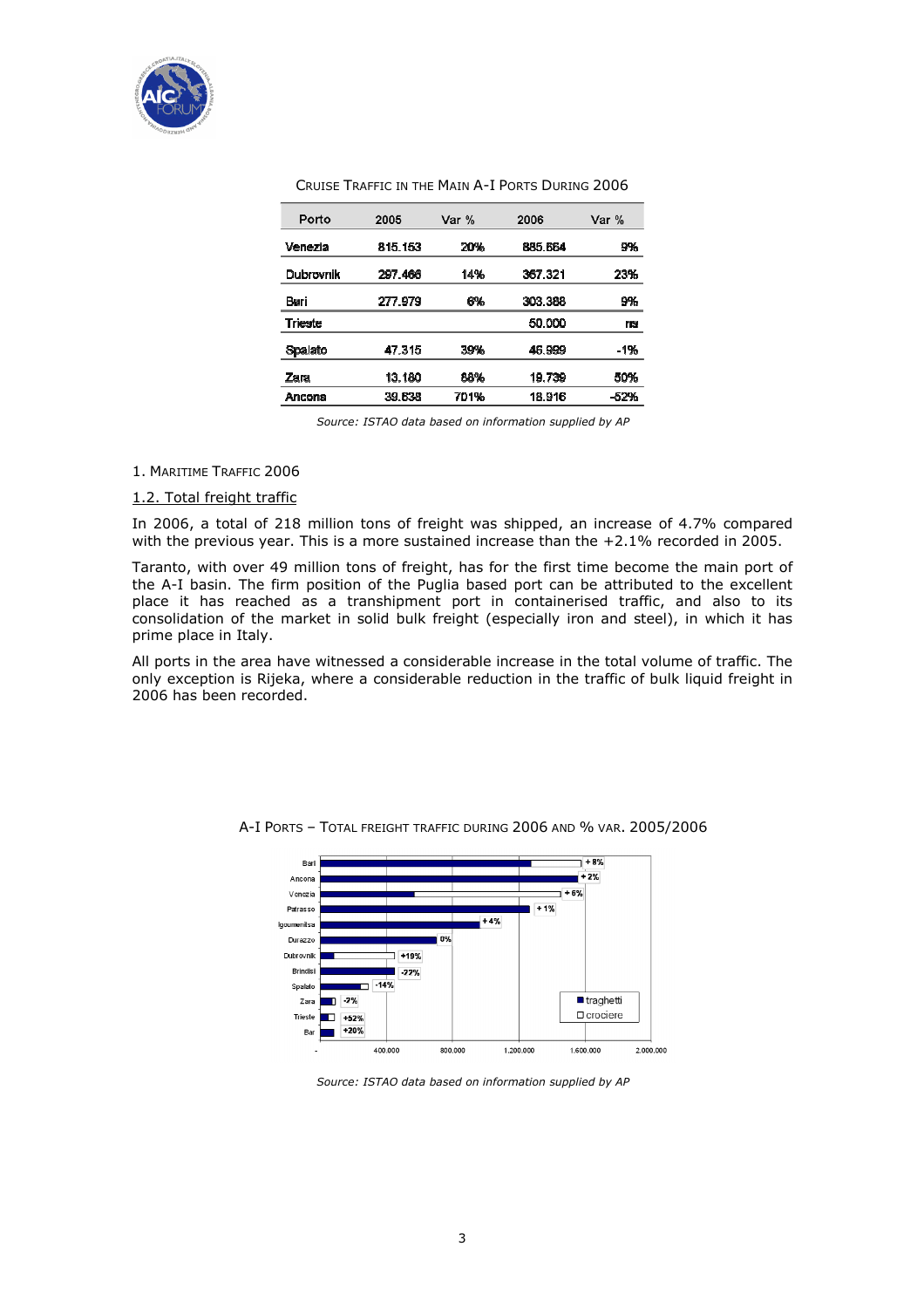

| Cruise Traffic in the Main A-I Ports During 2006 |  |  |
|--------------------------------------------------|--|--|
|--------------------------------------------------|--|--|

| Porto          | 2005    | Var % | 2006    | Var %  |
|----------------|---------|-------|---------|--------|
| Venezia        | 815.153 | 20%   | 885.664 | 9%     |
| Dubrovnik      | 297.466 | 14%   | 367 321 | 23%    |
| Bari           | 277.979 | 6%    | 303 388 | 9%     |
| <b>Trieste</b> |         |       | 50.000  | ns     |
| Spalato        | 47.315  | 39%   | 46.999  | -1%    |
| Zara           | 13.180  | 88%   | 19.739  | 50%    |
| Ancona         | 39.638  | 701%  | 18.916  | $-52%$ |

Source: ISTAO data based on information supplied by AP

#### 1. MARITIME TRAFFIC 2006

#### 1.2. Total freight traffic

In 2006, a total of 218 million tons of freight was shipped, an increase of 4.7% compared with the previous year. This is a more sustained increase than the +2.1% recorded in 2005.

Taranto, with over 49 million tons of freight, has for the first time become the main port of the A-I basin. The firm position of the Puglia based port can be attributed to the excellent place it has reached as a transhipment port in containerised traffic, and also to its consolidation of the market in solid bulk freight (especially iron and steel), in which it has prime place in Italy.

All ports in the area have witnessed a considerable increase in the total volume of traffic. The only exception is Rijeka, where a considerable reduction in the traffic of bulk liquid freight in 2006 has been recorded.



A-I PORTS – TOTAL FREIGHT TRAFFIC DURING 2006 AND % VAR. 2005/2006

Source: ISTAO data based on information supplied by AP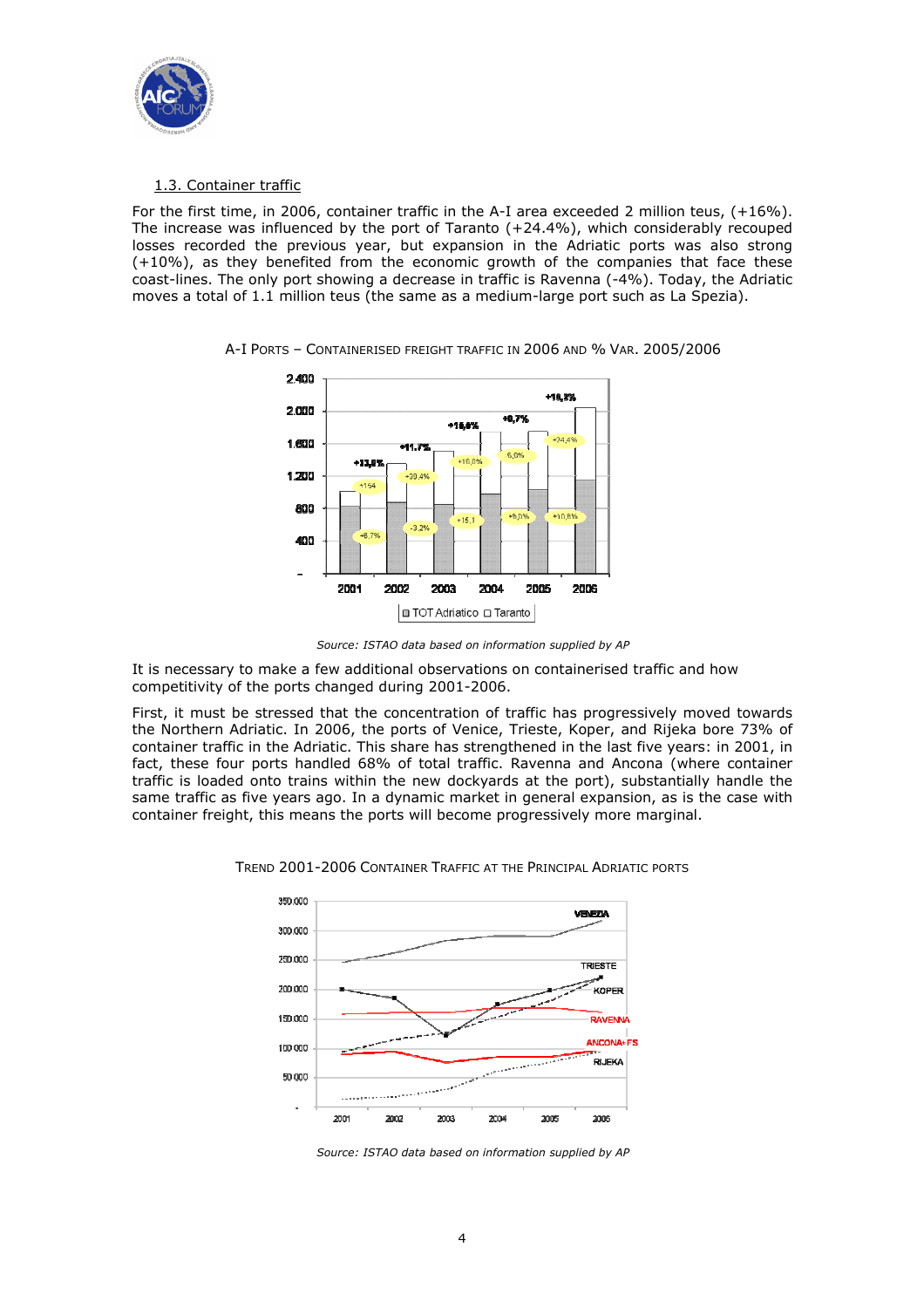

# 1.3. Container traffic

For the first time, in 2006, container traffic in the A-I area exceeded 2 million teus, (+16%). The increase was influenced by the port of Taranto (+24.4%), which considerably recouped losses recorded the previous year, but expansion in the Adriatic ports was also strong (+10%), as they benefited from the economic growth of the companies that face these coast-lines. The only port showing a decrease in traffic is Ravenna (-4%). Today, the Adriatic moves a total of 1.1 million teus (the same as a medium-large port such as La Spezia).



A-I PORTS – CONTAINERISED FREIGHT TRAFFIC IN 2006 AND % VAR. 2005/2006



It is necessary to make a few additional observations on containerised traffic and how competitivity of the ports changed during 2001-2006.

First, it must be stressed that the concentration of traffic has progressively moved towards the Northern Adriatic. In 2006, the ports of Venice, Trieste, Koper, and Rijeka bore 73% of container traffic in the Adriatic. This share has strengthened in the last five years: in 2001, in fact, these four ports handled 68% of total traffic. Ravenna and Ancona (where container traffic is loaded onto trains within the new dockyards at the port), substantially handle the same traffic as five years ago. In a dynamic market in general expansion, as is the case with container freight, this means the ports will become progressively more marginal.



TREND 2001-2006 CONTAINER TRAFFIC AT THE PRINCIPAL ADRIATIC PORTS

Source: ISTAO data based on information supplied by AP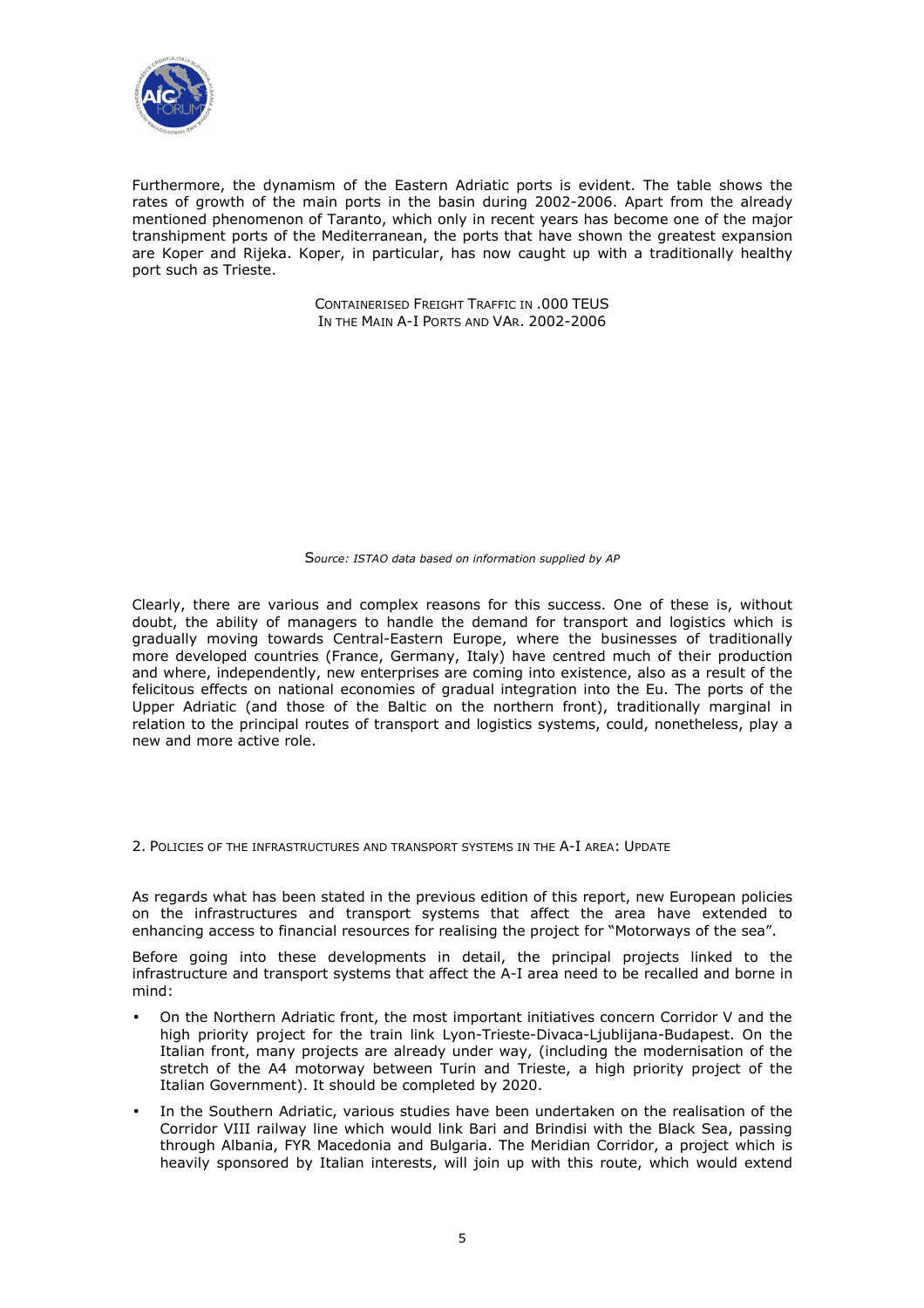

Furthermore, the dynamism of the Eastern Adriatic ports is evident. The table shows the rates of growth of the main ports in the basin during 2002-2006. Apart from the already mentioned phenomenon of Taranto, which only in recent years has become one of the major transhipment ports of the Mediterranean, the ports that have shown the greatest expansion are Koper and Rijeka. Koper, in particular, has now caught up with a traditionally healthy port such as Trieste.

> CONTAINERISED FREIGHT TRAFFIC IN .000 TEUS IN THE MAIN A-I PORTS AND VAR. 2002-2006

#### Source: ISTAO data based on information supplied by AP

Clearly, there are various and complex reasons for this success. One of these is, without doubt, the ability of managers to handle the demand for transport and logistics which is gradually moving towards Central-Eastern Europe, where the businesses of traditionally more developed countries (France, Germany, Italy) have centred much of their production and where, independently, new enterprises are coming into existence, also as a result of the felicitous effects on national economies of gradual integration into the Eu. The ports of the Upper Adriatic (and those of the Baltic on the northern front), traditionally marginal in relation to the principal routes of transport and logistics systems, could, nonetheless, play a new and more active role.

2. POLICIES OF THE INFRASTRUCTURES AND TRANSPORT SYSTEMS IN THE A-I AREA: UPDATE

As regards what has been stated in the previous edition of this report, new European policies on the infrastructures and transport systems that affect the area have extended to enhancing access to financial resources for realising the project for "Motorways of the sea".

Before going into these developments in detail, the principal projects linked to the infrastructure and transport systems that affect the A-I area need to be recalled and borne in mind:

- On the Northern Adriatic front, the most important initiatives concern Corridor V and the high priority project for the train link Lyon-Trieste-Divaca-Ljublijana-Budapest. On the Italian front, many projects are already under way, (including the modernisation of the stretch of the A4 motorway between Turin and Trieste, a high priority project of the Italian Government). It should be completed by 2020.
- In the Southern Adriatic, various studies have been undertaken on the realisation of the Corridor VIII railway line which would link Bari and Brindisi with the Black Sea, passing through Albania, FYR Macedonia and Bulgaria. The Meridian Corridor, a project which is heavily sponsored by Italian interests, will join up with this route, which would extend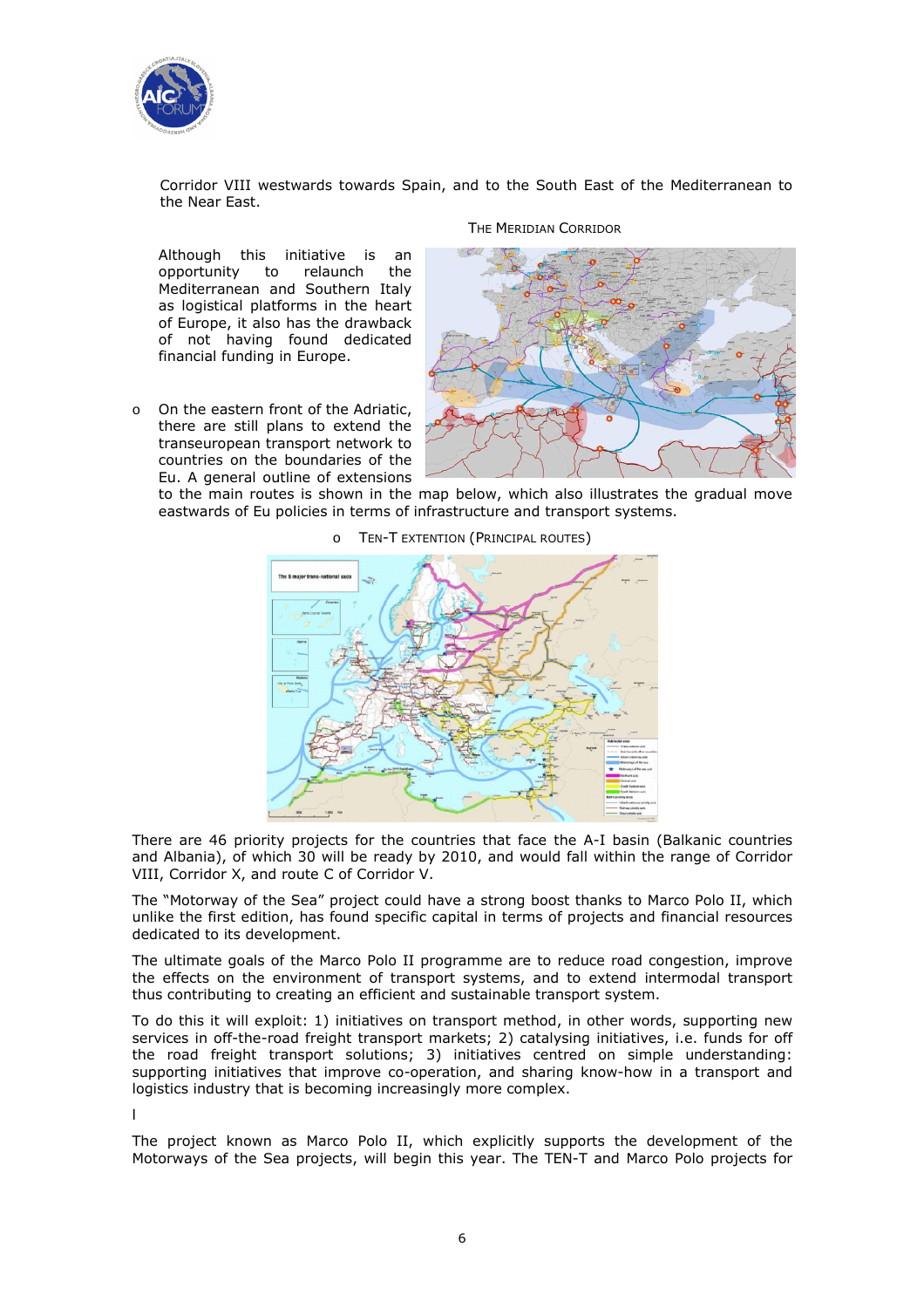

Corridor VIII westwards towards Spain, and to the South East of the Mediterranean to the Near East.

THE MERIDIAN CORRIDOR

Although this initiative is an opportunity to relaunch the Mediterranean and Southern Italy as logistical platforms in the heart of Europe, it also has the drawback of not having found dedicated financial funding in Europe.

o On the eastern front of the Adriatic, there are still plans to extend the transeuropean transport network to countries on the boundaries of the Eu. A general outline of extensions



to the main routes is shown in the map below, which also illustrates the gradual move eastwards of Eu policies in terms of infrastructure and transport systems.

o TEN-T EXTENTION (PRINCIPAL ROUTES)



There are 46 priority projects for the countries that face the A-I basin (Balkanic countries and Albania), of which 30 will be ready by 2010, and would fall within the range of Corridor VIII, Corridor X, and route C of Corridor V.

The "Motorway of the Sea" project could have a strong boost thanks to Marco Polo II, which unlike the first edition, has found specific capital in terms of projects and financial resources dedicated to its development.

The ultimate goals of the Marco Polo II programme are to reduce road congestion, improve the effects on the environment of transport systems, and to extend intermodal transport thus contributing to creating an efficient and sustainable transport system.

To do this it will exploit: 1) initiatives on transport method, in other words, supporting new services in off-the-road freight transport markets; 2) catalysing initiatives, i.e. funds for off the road freight transport solutions; 3) initiatives centred on simple understanding: supporting initiatives that improve co-operation, and sharing know-how in a transport and logistics industry that is becoming increasingly more complex.

l

The project known as Marco Polo II, which explicitly supports the development of the Motorways of the Sea projects, will begin this year. The TEN-T and Marco Polo projects for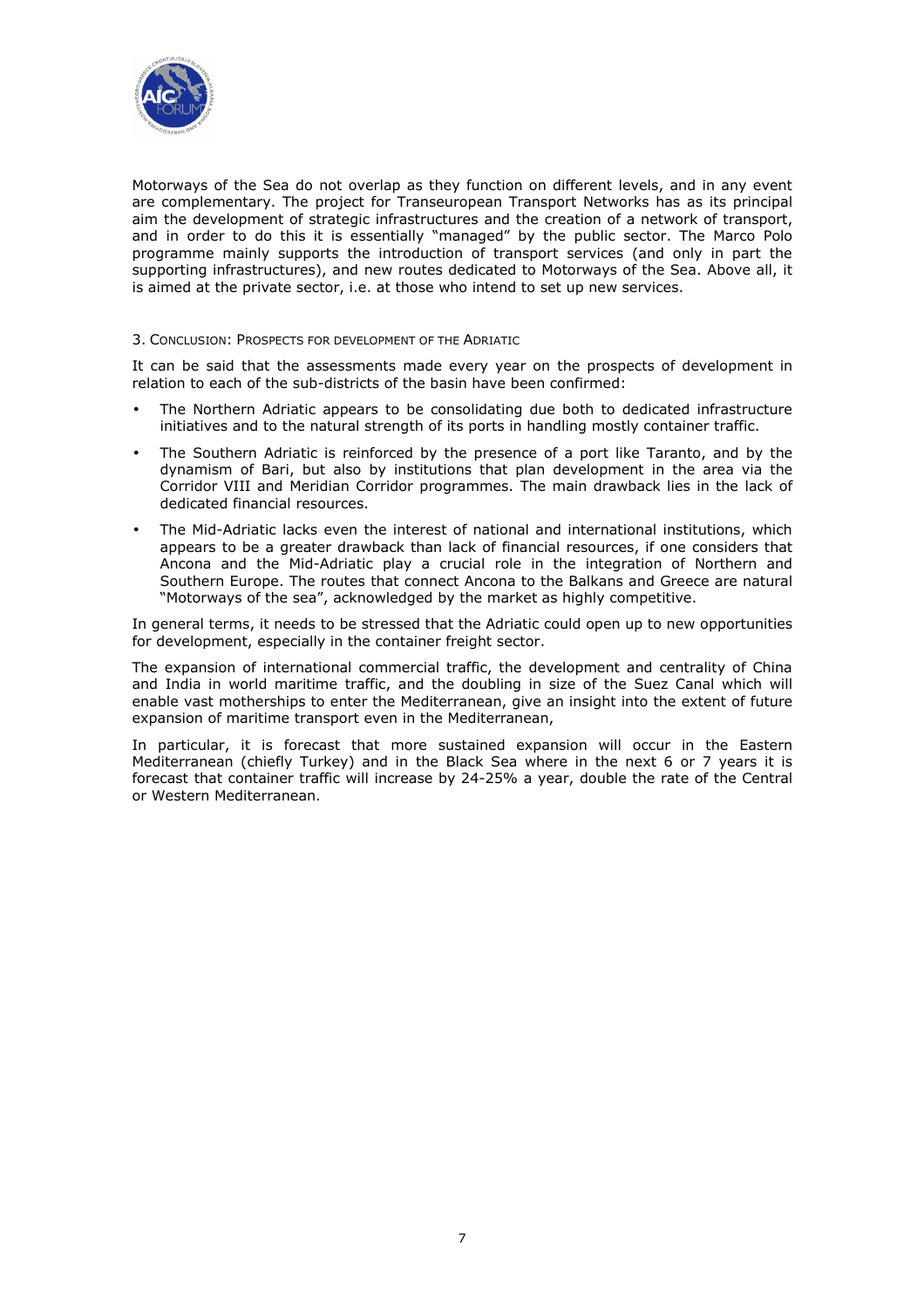

Motorways of the Sea do not overlap as they function on different levels, and in any event are complementary. The project for Transeuropean Transport Networks has as its principal aim the development of strategic infrastructures and the creation of a network of transport, and in order to do this it is essentially "managed" by the public sector. The Marco Polo programme mainly supports the introduction of transport services (and only in part the supporting infrastructures), and new routes dedicated to Motorways of the Sea. Above all, it is aimed at the private sector, i.e. at those who intend to set up new services.

### 3. CONCLUSION: PROSPECTS FOR DEVELOPMENT OF THE ADRIATIC

It can be said that the assessments made every year on the prospects of development in relation to each of the sub-districts of the basin have been confirmed:

- The Northern Adriatic appears to be consolidating due both to dedicated infrastructure initiatives and to the natural strength of its ports in handling mostly container traffic.
- The Southern Adriatic is reinforced by the presence of a port like Taranto, and by the dynamism of Bari, but also by institutions that plan development in the area via the Corridor VIII and Meridian Corridor programmes. The main drawback lies in the lack of dedicated financial resources.
- The Mid-Adriatic lacks even the interest of national and international institutions, which appears to be a greater drawback than lack of financial resources, if one considers that Ancona and the Mid-Adriatic play a crucial role in the integration of Northern and Southern Europe. The routes that connect Ancona to the Balkans and Greece are natural "Motorways of the sea", acknowledged by the market as highly competitive.

In general terms, it needs to be stressed that the Adriatic could open up to new opportunities for development, especially in the container freight sector.

The expansion of international commercial traffic, the development and centrality of China and India in world maritime traffic, and the doubling in size of the Suez Canal which will enable vast motherships to enter the Mediterranean, give an insight into the extent of future expansion of maritime transport even in the Mediterranean,

In particular, it is forecast that more sustained expansion will occur in the Eastern Mediterranean (chiefly Turkey) and in the Black Sea where in the next 6 or 7 years it is forecast that container traffic will increase by 24-25% a year, double the rate of the Central or Western Mediterranean.